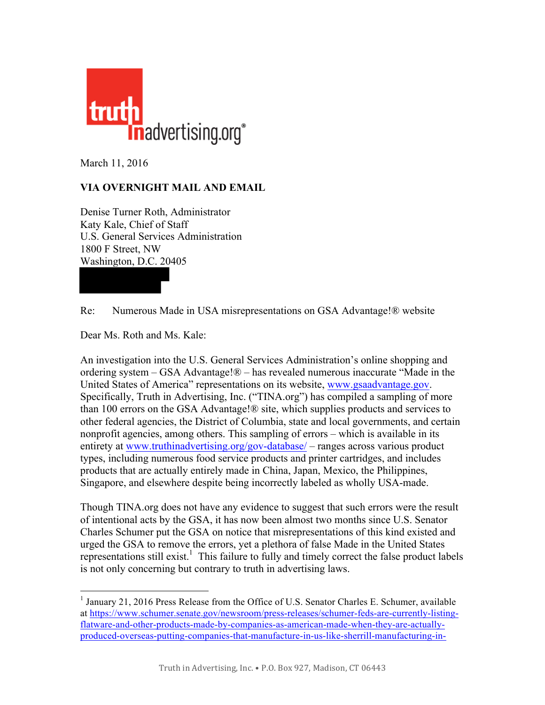

March 11, 2016

## **VIA OVERNIGHT MAIL AND EMAIL**

Denise Turner Roth, Administrator Katy Kale, Chief of Staff U.S. General Services Administration 1800 F Street, NW Washington, D.C. 20405

Re: Numerous Made in USA misrepresentations on GSA Advantage!® website

Dear Ms. Roth and Ms. Kale:

An investigation into the U.S. General Services Administration's online shopping and ordering system – GSA Advantage!® – has revealed numerous inaccurate "Made in the United States of America" representations on its website, [www.gsaadvantage.gov.](www.gsaadvantage.gov)  Specifically, Truth in Advertising, Inc. ("TINA.org") has compiled a sampling of more than 100 errors on the GSA Advantage!® site, which supplies products and services to other federal agencies, the District of Columbia, state and local governments, and certain nonprofit agencies, among others. This sampling of errors – which is available in its entirety at<www.truthinadvertising.org/gov-database/> – ranges across various product types, including numerous food service products and printer cartridges, and includes products that are actually entirely made in China, Japan, Mexico, the Philippines, Singapore, and elsewhere despite being incorrectly labeled as wholly USA-made.

Though TINA.org does not have any evidence to suggest that such errors were the result of intentional acts by the GSA, it has now been almost two months since U.S. Senator Charles Schumer put the GSA on notice that misrepresentations of this kind existed and urged the GSA to remove the errors, yet a plethora of false Made in the United States representations still exist.<sup>1</sup> This failure to fully and timely correct the false product labels is not only concerning but contrary to truth in advertising laws.

<sup>&</sup>lt;sup>1</sup> January 21, 2016 Press Release from the Office of U.S. Senator Charles E. Schumer, available at [https://www.schumer.senate.gov/newsroom/press-releases/schumer-feds-are-currently-listing](https://www.schumer.senate.gov/newsroom/press-releases/schumer-feds-are-currently-listing-flatware-and-other-products-made-by-companies-as-american-made-when-they-are-actually-produced-overseas-putting-companies-that-manufacture-in-us-like-sherrill-manufacturing-in-central-ny-at-a-disadvantage_senator-pushes-feds-to-review-made-in-america-listings--immediately-remove-companies-that-are-falsely-listed)flatware-and-other-products-made-by-companies-as-american-made-when-they-are-actually[produced-overseas-putting-companies-that-manufacture-in-us-like-sherrill-manufacturing-in-](https://www.schumer.senate.gov/newsroom/press-releases/schumer-feds-are-currently-listing-flatware-and-other-products-made-by-companies-as-american-made-when-they-are-actually-produced-overseas-putting-companies-that-manufacture-in-us-like-sherrill-manufacturing-in-central-ny-at-a-disadvantage_senator-pushes-feds-to-review-made-in-america-listings--immediately-remove-companies-that-are-falsely-listed)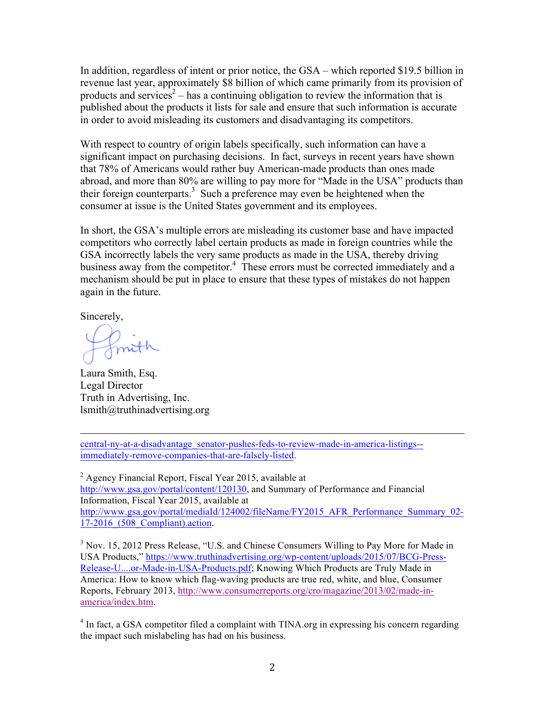In addition, regardless of intent or prior notice, the GSA – which reported \$19.5 billion in revenue last year, approximately \$8 billion of which came primarily from its provision of products and services<sup>2</sup> – has a continuing obligation to review the information that is published about the products it lists for sale and ensure that such information is accurate in order to avoid misleading its customers and disadvantaging its competitors.

With respect to country of origin labels specifically, such information can have a significant impact on purchasing decisions. In fact, surveys in recent years have shown that 78% of Americans would rather buy American-made products than ones made abroad, and more than 80% are willing to pay more for "Made in the USA" products than their foreign counterparts.<sup>3</sup> Such a preference may even be heightened when the consumer at issue is the United States government and its employees.

In short, the GSA's multiple errors are misleading its customer base and have impacted competitors who correctly label certain products as made in foreign countries while the GSA incorrectly labels the very same products as made in the USA, thereby driving business away from the competitor.<sup>4</sup> These errors must be corrected immediately and a mechanism should be put in place to ensure that these types of mistakes do not happen again in the future.

Sincerely,

Imith

Laura Smith, Esq. Legal Director Truth in Advertising, Inc. lsmith@truthinadvertising.org

<u> 2002 - Andrea San Andrea San Andrea San Andrea San Andrea San Andrea San Andrea San Andrea San Andrea San An</u> [central-ny-at-a-disadvantage\\_senator-pushes-feds-to-review-made-in-america-listings-](https://www.schumer.senate.gov/newsroom/press-releases/schumer-feds-are-currently-listing-flatware-and-other-products-made-by-companies-as-american-made-when-they-are-actually-produced-overseas-putting-companies-that-manufacture-in-us-like-sherrill-manufacturing-in-central-ny-at-a-disadvantage_senator-pushes-feds-to-review-made-in-america-listings--immediately-remove-companies-that-are-falsely-listed) immediately-remove-companies-that-are-falsely-listed.

 $2$  Agency Financial Report, Fiscal Year 2015, available at [http://www.gsa.gov/portal/content/120130,](http://www.gsa.gov/portal/content/120130) and Summary of Performance and Financial Information, Fiscal Year 2015, available at [http://www.gsa.gov/portal/mediaId/124002/fileName/FY2015\\_AFR\\_Performance\\_Summary\\_02-](http://www.gsa.gov/portal/mediaId/124002/fileName/FY2015_AFR_Performance_Summary_02-17-2016_(508_Compliant).action) 17-2016\_(508\_Compliant).action.

<sup>3</sup> Nov. 15, 2012 Press Release, "U.S. and Chinese Consumers Willing to Pay More for Made in USA Products," [https://www.truthinadvertising.org/wp-content/uploads/2015/07/BCG-Press-](https://www.truthinadvertising.org/wp-content/uploads/2015/07/BCG-Press-Release-U....or-Made-in-USA-Products.pdf)[Release-U....or-Made-in-USA-Products.pdf;](https://www.truthinadvertising.org/wp-content/uploads/2015/07/BCG-Press-Release-U....or-Made-in-USA-Products.pdf) Knowing Which Products are Truly Made in America: How to know which flag-waving products are true red, white, and blue, Consumer Reports, February 2013, [http://www.consumerreports.org/cro/magazine/2013/02/made-in](http://www.consumerreports.org/cro/magazine/2013/02/made-in-america/index.htm)[america/index.htm.](http://www.consumerreports.org/cro/magazine/2013/02/made-in-america/index.htm)

<sup>4</sup> In fact, a GSA competitor filed a complaint with TINA.org in expressing his concern regarding the impact such mislabeling has had on his business.